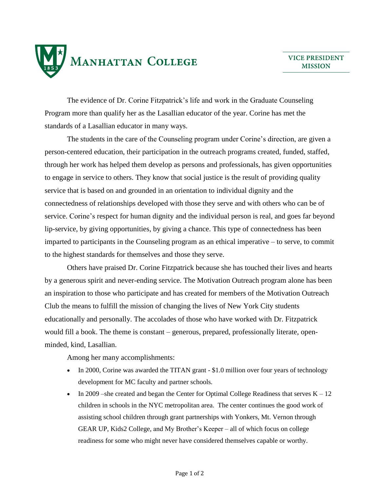

The evidence of Dr. Corine Fitzpatrick's life and work in the Graduate Counseling Program more than qualify her as the Lasallian educator of the year. Corine has met the standards of a Lasallian educator in many ways.

The students in the care of the Counseling program under Corine's direction, are given a person-centered education, their participation in the outreach programs created, funded, staffed, through her work has helped them develop as persons and professionals, has given opportunities to engage in service to others. They know that social justice is the result of providing quality service that is based on and grounded in an orientation to individual dignity and the connectedness of relationships developed with those they serve and with others who can be of service. Corine's respect for human dignity and the individual person is real, and goes far beyond lip-service, by giving opportunities, by giving a chance. This type of connectedness has been imparted to participants in the Counseling program as an ethical imperative – to serve, to commit to the highest standards for themselves and those they serve.

Others have praised Dr. Corine Fitzpatrick because she has touched their lives and hearts by a generous spirit and never-ending service. The Motivation Outreach program alone has been an inspiration to those who participate and has created for members of the Motivation Outreach Club the means to fulfill the mission of changing the lives of New York City students educationally and personally. The accolades of those who have worked with Dr. Fitzpatrick would fill a book. The theme is constant – generous, prepared, professionally literate, openminded, kind, Lasallian.

Among her many accomplishments:

- In 2000, Corine was awarded the TITAN grant  $-$  \$1.0 million over four years of technology development for MC faculty and partner schools.
- In 2009 –she created and began the Center for Optimal College Readiness that serves  $K 12$ children in schools in the NYC metropolitan area. The center continues the good work of assisting school children through grant partnerships with Yonkers, Mt. Vernon through GEAR UP, Kids2 College, and My Brother's Keeper – all of which focus on college readiness for some who might never have considered themselves capable or worthy.